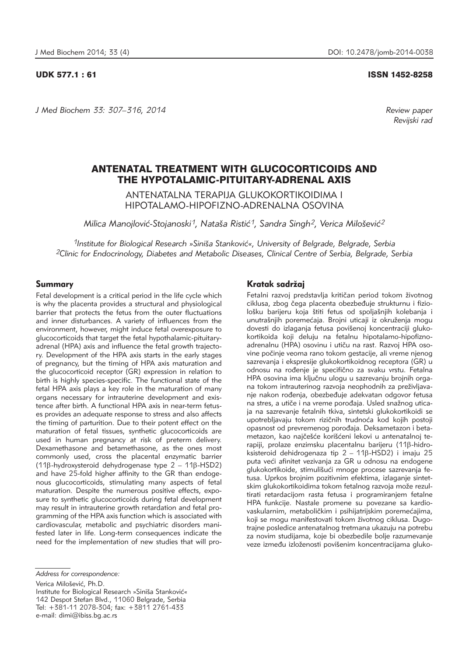#### UDK 577.1 : 61 ISSN 1452-8258

*J Med Biochem 33: 307–316, 2014 Review paper*

*Revijski rad*

# ANTENATAL TREATMENT WITH GLUCOCORTICOIDS AND THE HYPOTALAMIC-PITUITARY-ADRENAL AXIS

ANTENATALNA TERAPIJA GLUKOKORTIKOIDIMA I HIPOTALAMO-HIPOFIZNO-ADRENALNA OSOVINA

*Milica Manojlović-Stojanoski<sup>1</sup>, Nataša Ristić<sup>1</sup>, Sandra Singh<sup>2</sup>, Verica Milošević<sup>2</sup>* 

<sup>1</sup>Institute for Biological Research »Siniša Stanković«, University of Belgrade, Belgrade, Serbia *2Clinic for Endocrinology, Diabetes and Metabolic Diseases, Clinical Centre of Serbia, Belgrade, Serbia*

## Summary

Fetal development is a critical period in the life cycle which is why the placenta provides a structural and physiological barrier that protects the fetus from the outer fluctuations and inner disturbances. A variety of influences from the environment, however, might induce fetal overexposure to glucocorticoids that target the fetal hypothalamic-pituitaryadrenal (HPA) axis and influence the fetal growth trajectory. Development of the HPA axis starts in the early stages of pregnancy, but the timing of HPA axis maturation and the glucocorticoid receptor (GR) expression in relation to birth is highly species-specific. The functional state of the fetal HPA axis plays a key role in the maturation of many organs necessary for intrauterine development and existence after birth. A functional HPA axis in near-term fetuses provides an adequate response to stress and also affects the timing of parturition. Due to their potent effect on the maturation of fetal tissues, synthetic glucocorticoids are used in human pregnancy at risk of preterm delivery. Dexamethasone and betamethasone, as the ones most commonly used, cross the placental enzymatic barrier (11 $\beta$ -hydroxysteroid dehydrogenase type 2 – 11 $\beta$ -HSD2) and have 25-fold higher affinity to the GR than endogenous glucocorticoids, stimulating many aspects of fetal maturation. Despite the numerous positive effects, exposure to synthetic glucocorticoids during fetal development may result in intrauterine growth retardation and fetal programming of the HPA axis function which is associated with cardiovascular, metabolic and psychiatric disorders manifested later in life. Long-term consequences indicate the need for the implementation of new studies that will pro-

Verica Milošević, Ph.D.

Institute for Biological Research »Siniša Stanković« 142 Despot Stefan Blvd., 11060 Belgrade, Serbia Tel: +381-11 2078-304; fax: +3811 2761-433 e-mail: dimi@ibiss.bg.ac.rs

## Kratak sadržaj

Fetalni razvoj predstavlja kritičan period tokom životnog ciklusa, zbog čega placenta obezbeđuje strukturnu i fiziološku barijeru koja štiti fetus od spoljašnjih kolebanja i unutrašnjih poremećaja. Brojni uticaji iz okruženja mogu dovesti do izlaganja fetusa povišenoj koncentraciji glukokortikoida koji deluju na fetalnu hipotalamo-hipofiznoadrenalnu (HPA) osovinu i utiču na rast. Razvoj HPA osovine počinje veoma rano tokom gestacije, ali vreme njenog sazrevanja i ekspresije glukokortikoidnog receptora (GR) u odnosu na rođenje je specifično za svaku vrstu. Fetalna HPA osovina ima kliučnu ulogu u sazrevanju brojnih organa tokom intrauterinog razvoja neophodnih za preživljavanje nakon rođenja, obezbeđuje adekvatan odgovor fetusa na stres, a utiče i na vreme porođaja. Usled snažnog uticaja na sazrevanje fetalnih tkiva, sintetski glukokortikoidi se upotrebljavaju tokom rizičnih trudnoća kod kojih postoji opasnost od prevremenog porođaja. Deksametazon i betametazon, kao najčešće korišćeni lekovi u antenatalnoj terapiji, prolaze enzimsku placentalnu barijeru (11ß-hidroksisteroid dehidrogenaza tip 2 – 11b-HSD2) i imaju 25 puta veći afinitet vezivanja za GR u odnosu na endogene glukokortikoide, stimulišući mnoge procese sazrevanja fetusa. Uprkos brojnim pozitivnim efektima, izlaganje sintetskim glukokortikoidima tokom fetalnog razvoja može rezultirati retardacijom rasta fetusa i programiranjem fetalne HPA funkcije. Nastale promene su povezane sa kardiovaskularnim, metaboličkim i psihijatrijskim poremećajima, koji se mogu manifestovati tokom životnog ciklusa. Dugotrajne posledice antenatalnog tretmana ukazuju na potrebu za novim studijama, koje bi obezbedile bolje razumevanje veze između izloženosti povišenim koncentracijama gluko-

*Address for correspondence:*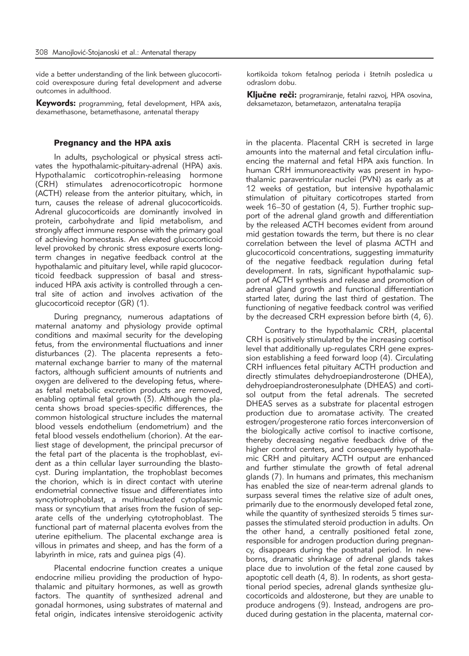vide a better understanding of the link between glucocorticoid overexposure during fetal development and adverse outcomes in adulthood.

Keywords: programming, fetal development, HPA axis, dexamethasone, betamethasone, antenatal therapy

#### Pregnancy and the HPA axis

In adults, psychological or physical stress activates the hypothalamic-pituitary-adrenal (HPA) axis. Hypothalamic corticotrophin-releasing hormone (CRH) stimulates adrenocorticotropic hormone (ACTH) release from the anterior pituitary, which, in turn, causes the release of adrenal glucocorticoids. Adrenal glucocorticoids are dominantly involved in protein, carbohydrate and lipid metabolism, and strongly affect immune response with the primary goal of achieving homeostasis. An elevated glucocorticoid level provoked by chronic stress exposure exerts longterm changes in negative feedback control at the hypothalamic and pituitary level, while rapid glucocorticoid feedback suppression of basal and stressinduced HPA axis activity is controlled through a central site of action and involves activation of the glucocorticoid receptor (GR) (1).

During pregnancy, numerous adaptations of maternal anatomy and physiology provide optimal conditions and maximal security for the developing fetus, from the environmental fluctuations and inner disturbances (2). The placenta represents a fetomaternal exchange barrier to many of the maternal factors, although sufficient amounts of nutrients and oxygen are delivered to the developing fetus, whereas fetal metabolic excretion products are removed, enabling optimal fetal growth (3). Although the placenta shows broad species-specific differences, the common histological structure includes the maternal blood vessels endothelium (endometrium) and the fetal blood vessels endothelium (chorion). At the earliest stage of development, the principal precursor of the fetal part of the placenta is the trophoblast, evident as a thin cellular layer surrounding the blastocyst. During implantation, the trophoblast becomes the chorion, which is in direct contact with uterine endometrial connective tissue and differentiates into syncytiotrophoblast, a multinucleated cytoplasmic mass or syncytium that arises from the fusion of separate cells of the underlying cytotrophoblast. The functional part of maternal placenta evolves from the uterine epithelium. The placental exchange area is villous in primates and sheep, and has the form of a labyrinth in mice, rats and guinea pigs (4).

Placental endocrine function creates a unique endocrine milieu providing the production of hypothalamic and pituitary hormones, as well as growth factors. The quantity of synthesized adrenal and gonadal hormones, using substrates of maternal and fetal origin, indicates intensive steroidogenic activity

kortikoida tokom fetalnog perioda i štetnih posledica u odraslom dobu.

**Ključne reči:** programiranje, fetalni razvoj, HPA osovina, deksametazon, betametazon, antenatalna terapija

in the placenta. Placental CRH is secreted in large amounts into the maternal and fetal circulation influencing the maternal and fetal HPA axis function. In human CRH immunoreactivity was present in hypothalamic paraventricular nuclei (PVN) as early as at 12 weeks of gestation, but intensive hypothalamic stimulation of pituitary corticotropes started from week 16–30 of gestation (4, 5). Further trophic support of the adrenal gland growth and differentiation by the released ACTH becomes evident from around mid gestation towards the term, but there is no clear correlation between the level of plasma ACTH and glucocorticoid concentrations, suggesting immaturity of the negative feedback regulation during fetal development. In rats, significant hypothalamic support of ACTH synthesis and release and promotion of adrenal gland growth and functional differentiation started later, during the last third of gestation. The functioning of negative feedback control was verified by the decreased CRH expression before birth (4, 6).

Contrary to the hypothalamic CRH, placental CRH is positively stimulated by the increasing cortisol level that additionally up-regulates CRH gene expression establishing a feed forward loop (4). Circulating CRH influences fetal pituitary ACTH production and directly stimulates dehydroepiandrosterone (DHEA), dehydroepiandrosteronesulphate (DHEAS) and cortisol output from the fetal adrenals. The secreted DHEAS serves as a substrate for placental estrogen production due to aromatase activity. The created estrogen/progesterone ratio forces interconversion of the biologically active cortisol to inactive cortisone, thereby decreasing negative feedback drive of the higher control centers, and consequently hypothalamic CRH and pituitary ACTH output are enhanced and further stimulate the growth of fetal adrenal glands (7). In humans and primates, this mechanism has enabled the size of near-term adrenal glands to surpass several times the relative size of adult ones, primarily due to the enormously developed fetal zone, while the quantity of synthesized steroids 5 times surpasses the stimulated steroid production in adults. On the other hand, a centrally positioned fetal zone, responsible for androgen production during pregnancy, disappears during the postnatal period. In newborns, dramatic shrinkage of adrenal glands takes place due to involution of the fetal zone caused by apoptotic cell death (4, 8). In rodents, as short gestational period species, adrenal glands synthesize glucocorticoids and aldosterone, but they are unable to produce androgens (9). Instead, androgens are produced during gestation in the placenta, maternal cor-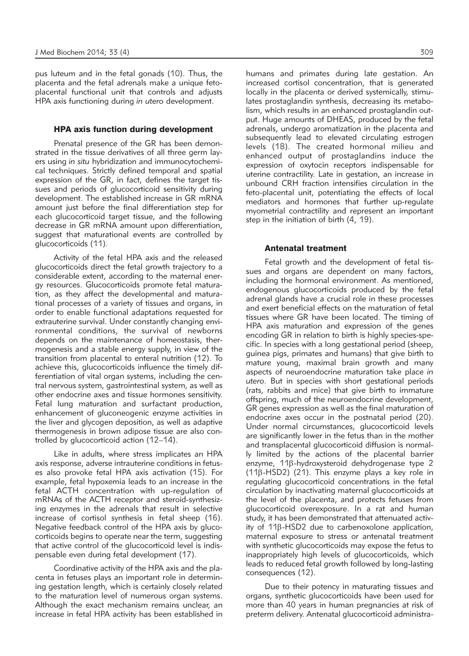pus luteum and in the fetal gonads (10). Thus, the placenta and the fetal adrenals make a unique fetoplacental functional unit that controls and adjusts HPA axis functioning during *in utero* development.

#### HPA axis function during development

Prenatal presence of the GR has been demonstrated in the tissue derivatives of all three germ layers using *in situ* hybridization and immunocytochemical techniques. Strictly defined temporal and spatial expression of the GR, in fact, defines the target tissues and periods of glucocorticoid sensitivity during development. The established increase in GR mRNA amount just before the final differentiation step for each glucocorticoid target tissue, and the following decrease in GR mRNA amount upon differentiation, suggest that maturational events are controlled by glucocorticoids (11).

Activity of the fetal HPA axis and the released glucocorticoids direct the fetal growth trajectory to a considerable extent, according to the maternal energy resources. Glucocorticoids promote fetal maturation, as they affect the developmental and maturational processes of a variety of tissues and organs, in order to enable functional adaptations requested for extrauterine survival. Under constantly changing environmental conditions, the survival of newborns depends on the maintenance of homeostasis, thermogenesis and a stable energy supply, in view of the transition from placental to enteral nutrition (12). To achieve this, glucocorticoids influence the timely differentiation of vital organ systems, including the central nervous system, gastrointestinal system, as well as other endocrine axes and tissue hormones sensitivity. Fetal lung maturation and surfactant production, enhancement of gluconeogenic enzyme activities in the liver and glycogen deposition, as well as adaptive thermogenesis in brown adipose tissue are also controlled by glucocorticoid action (12–14).

Like in adults, where stress implicates an HPA axis response, adverse intrauterine conditions in fetuses also provoke fetal HPA axis activation (15). For example, fetal hypoxemia leads to an increase in the fetal ACTH concentration with up-regulation of mRNAs of the ACTH receptor and steroid-synthesizing enzymes in the adrenals that result in selective increase of cortisol synthesis in fetal sheep (16). Negative feedback control of the HPA axis by glucocorticoids begins to operate near the term, suggesting that active control of the glucocorticoid level is indispensable even during fetal development (17).

Coordinative activity of the HPA axis and the placenta in fetuses plays an important role in determining gestation length, which is certainly closely related to the maturation level of numerous organ systems. Although the exact mechanism remains unclear, an increase in fetal HPA activity has been established in

humans and primates during late gestation. An increased cortisol concentration, that is generated locally in the placenta or derived systemically, stimulates prostaglandin synthesis, decreasing its metabolism, which results in an enhanced prostaglandin output. Huge amounts of DHEAS, produced by the fetal adrenals, undergo aromatization in the placenta and subsequently lead to elevated circulating estrogen levels (18). The created hormonal milieu and enhanced output of prostaglandins induce the expression of oxytocin receptors indispensable for uterine contractility. Late in gestation, an increase in unbound CRH fraction intensifies circulation in the feto-placental unit, potentiating the effects of local mediators and hormones that further up-regulate myometrial contractility and represent an important step in the initiation of birth (4, 19).

## Antenatal treatment

Fetal growth and the development of fetal tissues and organs are dependent on many factors, including the hormonal environment. As mentioned, endogenous glucocorticoids produced by the fetal adrenal glands have a crucial role in these processes and exert beneficial effects on the maturation of fetal tissues where GR have been located. The timing of HPA axis maturation and expression of the genes encoding GR in relation to birth is highly species-specific. In species with a long gestational period (sheep, guinea pigs, primates and humans) that give birth to mature young, maximal brain growth and many aspects of neuroendocrine maturation take place *in utero*. But in species with short gestational periods (rats, rabbits and mice) that give birth to immature offspring, much of the neuroendocrine development, GR genes expression as well as the final maturation of endocrine axes occur in the postnatal period (20). Under normal circumstances, glucocorticoid levels are significantly lower in the fetus than in the mother and transplacental glucocorticoid diffusion is normally limited by the actions of the placental barrier enzyme, 11b-hydroxysteroid dehydrogenase type 2 (11b-HSD2) (21). This enzyme plays a key role in regulating glucocorticoid concentrations in the fetal circulation by inactivating maternal glucocorticoids at the level of the placenta, and protects fetuses from glucocorticoid overexposure. In a rat and human study, it has been demonstrated that attenuated activity of 11b-HSD2 due to carbenoxolone application, maternal exposure to stress or antenatal treatment with synthetic glucocorticoids may expose the fetus to inappropriately high levels of glucocorticoids, which leads to reduced fetal growth followed by long-lasting consequences (12).

Due to their potency in maturating tissues and organs, synthetic glucocorticoids have been used for more than 40 years in human pregnancies at risk of preterm delivery. Antenatal glucocorticoid administra-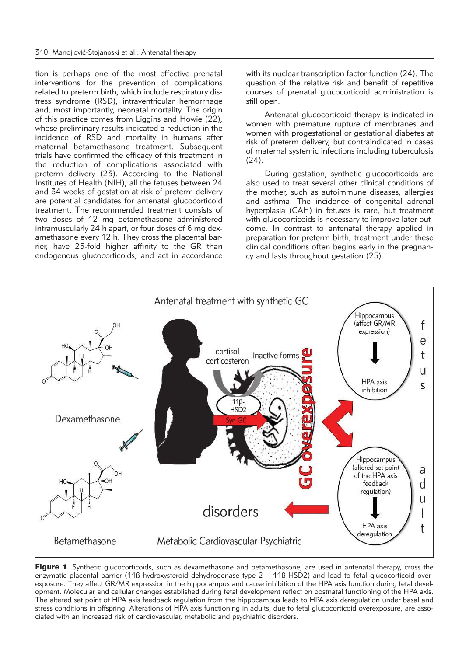tion is perhaps one of the most effective prenatal interventions for the prevention of complications related to preterm birth, which include respiratory distress syndrome (RSD), intraventricular hemorrhage and, most importantly, neonatal mortality. The origin of this practice comes from Liggins and Howie (22), whose preliminary results indicated a reduction in the incidence of RSD and mortality in humans after maternal betamethasone treatment. Subsequent trials have confirmed the efficacy of this treatment in the reduction of complications associated with preterm delivery (23). According to the National Institutes of Health (NIH), all the fetuses between 24 and 34 weeks of gestation at risk of preterm delivery are potential candidates for antenatal glucocorticoid treatment. The recommended treatment consists of two doses of 12 mg betamethasone administered intramuscularly 24 h apart, or four doses of 6 mg dexamethasone every 12 h. They cross the placental barrier, have 25-fold higher affinity to the GR than endogenous glucocorticoids, and act in accordance

with its nuclear transcription factor function (24). The question of the relative risk and benefit of repetitive courses of prenatal glucocorticoid administration is still open.

Antenatal glucocorticoid therapy is indicated in women with premature rupture of membranes and women with progestational or gestational diabetes at risk of preterm delivery, but contraindicated in cases of maternal systemic infections including tuberculosis  $(24)$ .

During gestation, synthetic glucocorticoids are also used to treat several other clinical conditions of the mother, such as autoimmune diseases, allergies and asthma. The incidence of congenital adrenal hyperplasia (CAH) in fetuses is rare, but treatment with glucocorticoids is necessary to improve later outcome. In contrast to antenatal therapy applied in preparation for preterm birth, treatment under these clinical conditions often begins early in the pregnancy and lasts throughout gestation (25).



Figure 1 Synthetic glucocorticoids, such as dexamethasone and betamethasone, are used in antenatal therapy, cross the enzymatic placental barrier (11ß-hydroxysteroid dehydrogenase type 2 – 11ß-HSD2) and lead to fetal glucocorticoid overexposure. They affect GR/MR expression in the hippocampus and cause inhibition of the HPA axis function during fetal development. Molecular and cellular changes established during fetal development reflect on postnatal functioning of the HPA axis. The altered set point of HPA axis feedback regulation from the hippocampus leads to HPA axis deregulation under basal and stress conditions in offspring. Alterations of HPA axis functioning in adults, due to fetal glucocorticoid overexposure, are associated with an increased risk of cardiovascular, metabolic and psychiatric disorders.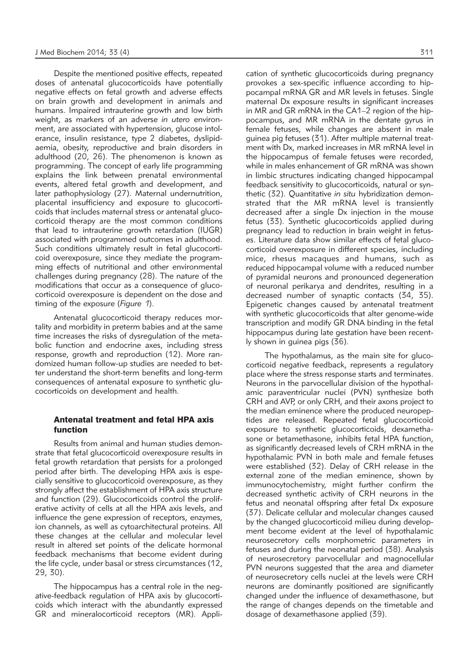Despite the mentioned positive effects, repeated doses of antenatal glucocorticoids have potentially negative effects on fetal growth and adverse effects on brain growth and development in animals and humans. Impaired intrauterine growth and low birth weight, as markers of an adverse *in utero* environment, are associated with hypertension, glucose intolerance, insulin resistance, type 2 diabetes, dyslipidaemia, obesity, reproductive and brain disorders in adulthood (20, 26). The phenomenon is known as programming. The concept of early life programming explains the link between prenatal environmental events, altered fetal growth and development, and later pathophysiology (27). Maternal undernutrition, placental insufficiency and exposure to glucocorticoids that includes maternal stress or antenatal glucocorticoid therapy are the most common conditions that lead to intrauterine growth retardation (IUGR) associated with programmed outcomes in adulthood. Such conditions ultimately result in fetal glucocorticoid overexposure, since they mediate the programming effects of nutritional and other environmental challenges during pregnancy (28). The nature of the modifications that occur as a consequence of glucocorticoid overexposure is dependent on the dose and timing of the exposure (*Figure 1*).

Antenatal glucocorticoid therapy reduces mortality and morbidity in preterm babies and at the same time increases the risks of dysregulation of the metabolic function and endocrine axes, including stress response, growth and reproduction (12). More randomized human follow-up studies are needed to better understand the short-term benefits and long-term consequences of antenatal exposure to synthetic glucocorticoids on development and health.

## Antenatal treatment and fetal HPA axis function

Results from animal and human studies demonstrate that fetal glucocorticoid overexposure results in fetal growth retardation that persists for a prolonged period after birth. The developing HPA axis is especially sensitive to glucocorticoid overexposure, as they strongly affect the establishment of HPA axis structure and function (29). Glucocorticoids control the proliferative activity of cells at all the HPA axis levels, and influence the gene expression of receptors, enzymes, ion channels, as well as cytoarchitectural proteins. All these changes at the cellular and molecular level result in altered set points of the delicate hormonal feedback mechanisms that become evident during the life cycle, under basal or stress circumstances (12, 29, 30).

The hippocampus has a central role in the negative-feedback regulation of HPA axis by glucocorticoids which interact with the abundantly expressed GR and mineralocorticoid receptors (MR). Appli-

cation of synthetic glucocorticoids during pregnancy provokes a sex-specific influence according to hippocampal mRNA GR and MR levels in fetuses. Single maternal Dx exposure results in significant increases in MR and GR mRNA in the CA1–2 region of the hippocampus, and MR mRNA in the dentate gyrus in female fetuses, while changes are absent in male guinea pig fetuses (31). After multiple maternal treatment with Dx, marked increases in MR mRNA level in the hippocampus of female fetuses were recorded, while in males enhancement of GR mRNA was shown in limbic structures indicating changed hippocampal feedback sensitivity to glucocorticoids, natural or synthetic (32). Quantitative *in situ* hybridization demonstrated that the MR mRNA level is transiently decreased after a single Dx injection in the mouse fetus (33). Synthetic glucocorticoids applied during pregnancy lead to reduction in brain weight in fetuses. Literature data show similar effects of fetal glucocorticoid overexposure in different species, including mice, rhesus macaques and humans, such as reduced hippocampal volume with a reduced number of pyramidal neurons and pronounced degeneration of neuronal perikarya and dendrites, resulting in a decreased number of synaptic contacts (34, 35). Epigenetic changes caused by antenatal treatment with synthetic glucocorticoids that alter genome-wide transcription and modify GR DNA binding in the fetal hippocampus during late gestation have been recently shown in guinea pigs (36).

The hypothalamus, as the main site for glucocorticoid negative feedback, represents a regulatory place where the stress response starts and terminates. Neurons in the parvocellular division of the hypothalamic paraventricular nuclei (PVN) synthesize both CRH and AVP, or only CRH, and their axons project to the median eminence where the produced neuropeptides are released. Repeated fetal glucocorticoid exposure to synthetic glucocorticoids, dexamethasone or betamethasone, inhibits fetal HPA function, as significantly decreased levels of CRH mRNA in the hypothalamic PVN in both male and female fetuses were established (32). Delay of CRH release in the external zone of the median eminence, shown by immunocytochemistry, might further confirm the decreased synthetic activity of CRH neurons in the fetus and neonatal offspring after fetal Dx exposure (37). Delicate cellular and molecular changes caused by the changed glucocorticoid milieu during development become evident at the level of hypothalamic neurosecretory cells morphometric parameters in fetuses and during the neonatal period (38). Analysis of neurosecretory parvocellular and magnocellular PVN neurons suggested that the area and diameter of neurosecretory cells nuclei at the levels were CRH neurons are dominantly positioned are significantly changed under the influence of dexamethasone, but the range of changes depends on the timetable and dosage of dexamethasone applied (39).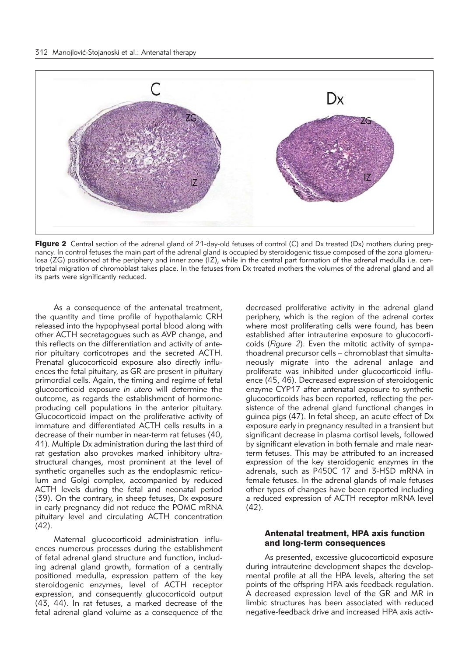

Figure 2 Central section of the adrenal gland of 21-day-old fetuses of control (C) and Dx treated (Dx) mothers during pregnancy. In control fetuses the main part of the adrenal gland is occupied by steroidogenic tissue composed of the zona glomerulosa (ZG) positioned at the periphery and inner zone (IZ), while in the central part formation of the adrenal medulla i.e. centripetal migration of chromoblast takes place. In the fetuses from Dx treated mothers the volumes of the adrenal gland and all its parts were significantly reduced.

As a consequence of the antenatal treatment, the quantity and time profile of hypothalamic CRH released into the hypophyseal portal blood along with other ACTH secretagogues such as AVP change, and this reflects on the differentiation and activity of anterior pituitary corticotropes and the secreted ACTH. Prenatal glucocorticoid exposure also directly influences the fetal pituitary, as GR are present in pituitary primordial cells. Again, the timing and regime of fetal glucocorticoid exposure *in utero* will determine the outcome, as regards the establishment of hormoneproducing cell populations in the anterior pituitary. Glucocorticoid impact on the proliferative activity of immature and differentiated ACTH cells results in a decrease of their number in near-term rat fetuses (40, 41). Multiple Dx administration during the last third of rat gestation also provokes marked inhibitory ultrastructural changes, most prominent at the level of synthetic organelles such as the endoplasmic reticulum and Golgi complex, accompanied by reduced ACTH levels during the fetal and neonatal period (39). On the contrary, in sheep fetuses, Dx exposure in early pregnancy did not reduce the POMC mRNA pituitary level and circulating ACTH concentration  $(42)$ .

Maternal glucocorticoid administration influences numerous processes during the establishment of fetal adrenal gland structure and function, including adrenal gland growth, formation of a centrally positioned medulla, expression pattern of the key steroidogenic enzymes, level of ACTH receptor expression, and consequently glucocorticoid output (43, 44). In rat fetuses, a marked decrease of the fetal adrenal gland volume as a consequence of the

decreased proliferative activity in the adrenal gland periphery, which is the region of the adrenal cortex where most proliferating cells were found, has been established after intrauterine exposure to glucocorticoids (*Figure 2*). Even the mitotic activity of sympathoadrenal precursor cells – chromoblast that simultaneously migrate into the adrenal anlage and proliferate was inhibited under glucocorticoid influence (45, 46). Decreased expression of steroidogenic enzyme CYP17 after antenatal exposure to synthetic glucocorticoids has been reported, reflecting the persistence of the adrenal gland functional changes in guinea pigs (47). In fetal sheep, an acute effect of Dx exposure early in pregnancy resulted in a transient but significant decrease in plasma cortisol levels, followed by significant elevation in both female and male nearterm fetuses. This may be attributed to an increased expression of the key steroidogenic enzymes in the adrenals, such as P450C 17 and 3-HSD mRNA in female fetuses. In the adrenal glands of male fetuses other types of changes have been reported including a reduced expression of ACTH receptor mRNA level (42).

## Antenatal treatment, HPA axis function and long-term consequences

As presented, excessive glucocorticoid exposure during intrauterine development shapes the developmental profile at all the HPA levels, altering the set points of the offspring HPA axis feedback regulation. A decreased expression level of the GR and MR in limbic structures has been associated with reduced negative-feedback drive and increased HPA axis activ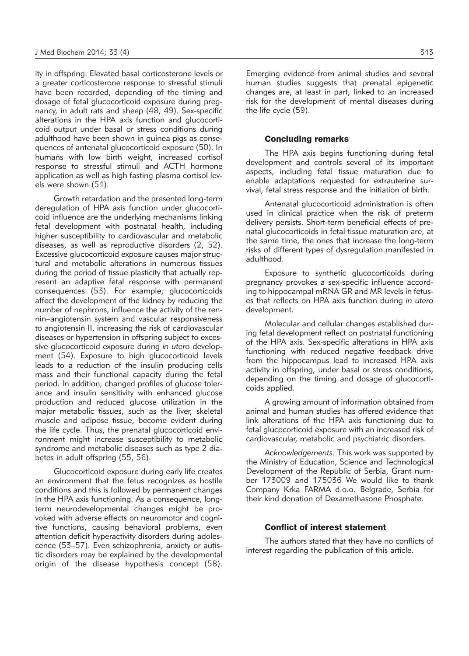ity in offspring. Elevated basal corticosterone levels or a greater corticosterone response to stressful stimuli have been recorded, depending of the timing and dosage of fetal glucocorticoid exposure during pregnancy, in adult rats and sheep (48, 49). Sex-specific alterations in the HPA axis function and glucocorticoid output under basal or stress conditions during adulthood have been shown in guinea pigs as consequences of antenatal glucocorticoid exposure (50). In humans with low birth weight, increased cortisol response to stressful stimuli and ACTH hormone application as well as high fasting plasma cortisol levels were shown (51).

Growth retardation and the presented long-term deregulation of HPA axis function under glucocorticoid influence are the underlying mechanisms linking fetal development with postnatal health, including higher susceptibility to cardiovascular and metabolic diseases, as well as reproductive disorders (2, 52). Excessive glucocorticoid exposure causes major structural and metabolic alterations in numerous tissues during the period of tissue plasticity that actually represent an adaptive fetal response with permanent consequences (53). For example, glucocorticoids affect the development of the kidney by reducing the number of nephrons, influence the activity of the rennin–angiotensin system and vascular responsiveness to angiotensin II, increasing the risk of cardiovascular diseases or hypertension in offspring subject to excessive glucocorticoid exposure during *in utero* development (54). Exposure to high glucocorticoid levels leads to a reduction of the insulin producing cells mass and their functional capacity during the fetal period. In addition, changed profiles of glucose tolerance and insulin sensitivity with enhanced glucose production and reduced glucose utilization in the major metabolic tissues, such as the liver, skeletal muscle and adipose tissue, become evident during the life cycle. Thus, the prenatal glucocorticoid environment might increase susceptibility to metabolic syndrome and metabolic diseases such as type 2 diabetes in adult offspring (55, 56).

Glucocorticoid exposure during early life creates an environment that the fetus recognizes as hostile conditions and this is followed by permanent changes in the HPA axis functioning. As a consequence, longterm neurodevelopmental changes might be provoked with adverse effects on neuromotor and cognitive functions, causing behavioral problems, even attention deficit hyperactivity disorders during adolescence (53–57). Even schizophrenia, anxiety or autistic disorders may be explained by the developmental origin of the disease hypothesis concept (58). Emerging evidence from animal studies and several human studies suggests that prenatal epigenetic changes are, at least in part, linked to an increased risk for the development of mental diseases during the life cycle (59).

#### Concluding remarks

The HPA axis begins functioning during fetal development and controls several of its important aspects, including fetal tissue maturation due to enable adaptations requested for extrauterine survival, fetal stress response and the initiation of birth.

Antenatal glucocorticoid administration is often used in clinical practice when the risk of preterm delivery persists. Short-term beneficial effects of prenatal glucocorticoids in fetal tissue maturation are, at the same time, the ones that increase the long-term risks of different types of dysregulation manifested in adulthood.

Exposure to synthetic glucocorticoids during pregnancy provokes a sex-specific influence according to hippocampal mRNA GR and MR levels in fetuses that reflects on HPA axis function during *in utero* development.

Molecular and cellular changes established during fetal development reflect on postnatal functioning of the HPA axis. Sex-specific alterations in HPA axis functioning with reduced negative feedback drive from the hippocampus lead to increased HPA axis activity in offspring, under basal or stress conditions, depending on the timing and dosage of glucocorticoids applied.

A growing amount of information obtained from animal and human studies has offered evidence that link alterations of the HPA axis functioning due to fetal glucocorticoid exposure with an increased risk of cardiovascular, metabolic and psychiatric disorders.

*Acknowledgements.* This work was supported by the Ministry of Education, Science and Technological Development of the Republic of Serbia, Grant number 173009 and 175036 We would like to thank Company Krka FARMA d.o.o. Belgrade, Serbia for their kind donation of Dexamethasone Phosphate.

#### Conflict of interest statement

The authors stated that they have no conflicts of interest regarding the publication of this article.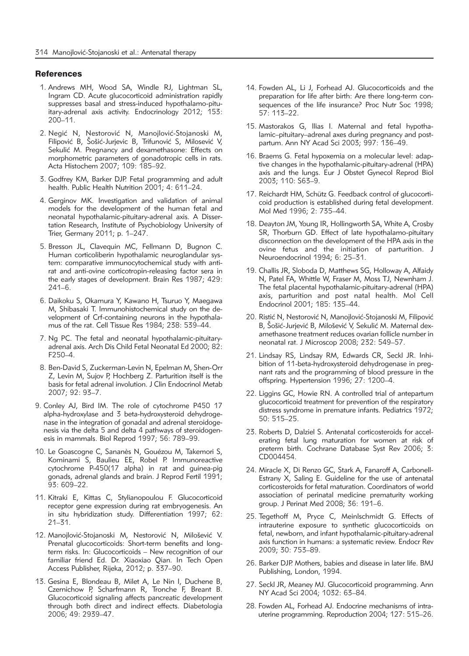#### **References**

- 1. Andrews MH, Wood SA, Windle RJ, Lightman SL, Ingram CD. Acute glucocorticoid administration rapidly suppresses basal and stress-induced hypothalamo-pituitary-adrenal axis activity. Endocrinology 2012; 153: 200–11.
- 2. Negić N, Nestorović N, Manojlović-Stojanoski M, Filipović B, Šošić-Jurievic B, Trifunović S, Milosević V, Sekulić M. Pregnancy and dexamethasone: Effects on morphometric parameters of gonadotropic cells in rats. Acta Histochem 2007; 109: 185–92.
- 3. Godfrey KM, Barker DJP. Fetal programming and adult health. Public Health Nutrition 2001; 4: 611–24.
- 4. Gerginov MK. Investigation and validation of animal models for the development of the human fetal and neonatal hypothalamic-pituitary-adrenal axis. A Disser tation Research, Institute of Psychobiology University of Trier, Germany 2011; p. 1–247.
- 5. Bresson JL, Clavequin MC, Fellmann D, Bugnon C. Human corticoliberin hypothalamic neuroglandular system: comparative immunocytochemical study with antirat and anti-ovine corticotropin-releasing factor sera in the early stages of development. Brain Res 1987; 429: 241–6.
- 6. Daikoku S, Okamura Y, Kawano H, Tsuruo Y, Maegawa M, Shibasaki T. Immunohistochemical study on the development of Crf-containing neurons in the hypothalamus of the rat. Cell Tissue Res 1984; 238: 539–44.
- 7. Ng PC. The fetal and neonatal hypothalamic-pituitaryadrenal axis. Arch Dis Child Fetal Neonatal Ed 2000; 82: F250–4.
- 8. Ben-David S, Zuckerman-Levin N, Epelman M, Shen-Orr Z, Levin M, Sujov P, Hochberg Z. Parturition itself is the basis for fetal adrenal involution. J Clin Endocrinol Metab 2007; 92: 93–7.
- 9. Conley AJ, Bird IM. The role of cytochrome P450 17 alpha-hydroxylase and 3 beta-hydroxysteroid dehydrogenase in the integration of gonadal and adrenal steroidogenesis via the delta 5 and delta 4 pathways of steroidogenesis in mammals. Biol Reprod 1997; 56: 789–99.
- 10. Le Goascogne C, Sananès N, Gouézou M, Takemori S, Kominami S, Baulieu EE, Robel P. Immunoreactive cytochrome P-450(17 alpha) in rat and guinea-pig gonads, adrenal glands and brain. J Reprod Fertil 1991; 93: 609–22.
- 11. Kitraki E, Kittas C, Stylianopoulou F. Glucocorticoid receptor gene expression during rat embryogenesis. An in situ hybridization study. Differentiation 1997; 62: 21–31.
- 12. Manojlović-Stojanoski M, Nestorović N, Milošević V. Prenatal glucocorticoids: Short-term benefits and longterm risks. In: Glucocorticoids – New recognition of our familiar friend Ed. Dr. Xiaoxiao Qian. In Tech Open Access Publisher, Rijeka, 2012; p. 337–90.
- 13. Gesina E, Blondeau B, Milet A, Le Nin I, Duchene B, Czernichow P, Scharfmann R, Tronche F, Breant B. Glucocorticoid signaling affects pancreatic development through both direct and indirect effects. Diabetologia 2006; 49: 2939–47.
- 14. Fowden AL, Li J, Forhead AJ. Glucocorticoids and the preparation for life after birth: Are there long-term consequences of the life insurance? Proc Nutr Soc 1998; 57: 113–22.
- 15. Mastorakos G, Ilias I. Maternal and fetal hypothalamic–pituitary–adrenal axes during pregnancy and postpartum. Ann NY Acad Sci 2003; 997: 136–49.
- 16. Braems G. Fetal hypoxemia on a molecular level: adaptive changes in the hypothalamic-pituitary-adrenal (HPA) axis and the lungs. Eur J Obstet Gynecol Reprod Biol 2003; 110: S63–9.
- 17. Reichardt HM, Schütz G. Feedback control of glucocorticoid production is established during fetal development. Mol Med 1996; 2: 735–44.
- 18. Deayton JM, Young IR, Hollingworth SA, White A, Crosby SR, Thorburn GD. Effect of late hypothalamo-pituitary disconnection on the development of the HPA axis in the ovine fetus and the initiation of parturition. J Neuroendocrinol 1994; 6: 25–31.
- 19. Challis JR, Sloboda D, Matthews SG, Holloway A, Alfaidy N, Patel FA, Whittle W, Fraser M, Moss TJ, Newnham J. The fetal placental hypothalamic-pituitary-adrenal (HPA) axis, parturition and post natal health. Mol Cell Endocrinol 2001; 185: 135–44.
- 20. Ristić N, Nestorović N, Manojlović-Stojanoski M, Filipović B, Šošić-Jurjević B, Milošević V, Sekulić M. Maternal dexamethasone treatment reduces ovarian follicle number in neonatal rat. J Microscop 2008; 232: 549–57.
- 21. Lindsay RS, Lindsay RM, Edwards CR, Seckl JR. Inhibition of 11-beta-hydroxysteroid dehydrogenase in pregnant rats and the programming of blood pressure in the offspring. Hypertension 1996; 27: 1200–4.
- 22. Liggins GC, Howie RN. A controlled trial of antepartum glucocorticoid treatment for prevention of the respiratory distress syndrome in premature infants. Pediatrics 1972; 50: 515–25.
- 23. Roberts D, Dalziel S. Antenatal corticosteroids for accelerating fetal lung maturation for women at risk of preterm birth. Cochrane Database Syst Rev 2006; 3: CD004454.
- 24. Miracle X, Di Renzo GC, Stark A, Fanaroff A, Carbonell-Estrany X, Saling E. Guideline for the use of antenatal corticosteroids for fetal maturation. Coordinators of world association of perinatal medicine prematurity working group. J Perinat Med 2008; 36: 191–6.
- 25. Tegethoff M, Pryce C, Meinlschmidt G. Effects of intrauterine exposure to synthetic glucocorticoids on fetal, newborn, and infant hypothalamic-pituitary-adrenal axis function in humans: a systematic review. Endocr Rev 2009; 30: 753–89.
- 26. Barker DJP. Mothers, babies and disease in later life. BMJ Publishing, London, 1994.
- 27. Seckl JR, Meaney MJ. Glucocorticoid programming. Ann NY Acad Sci 2004; 1032: 63–84.
- 28. Fowden AL, Forhead AJ. Endocrine mechanisms of intrauterine programming. Reproduction 2004; 127: 515–26.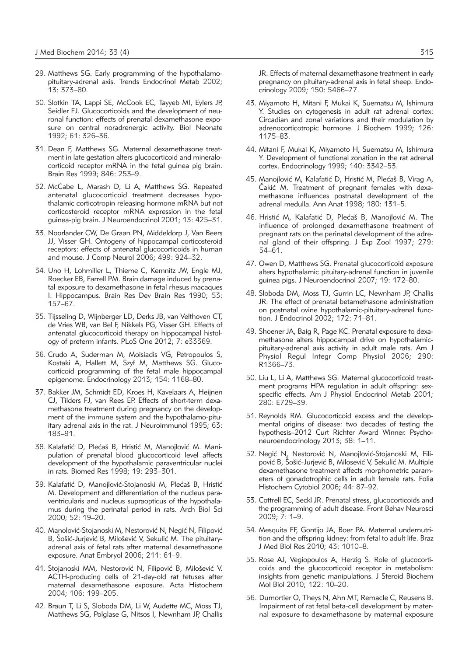- 29. Matthews SG. Early programming of the hypothalamopituitary-adrenal axis. Trends Endocrinol Metab 2002; 13: 373–80.
- 30. Slotkin TA, Lappi SE, McCook EC, Tayyeb MI, Eylers JP, Seidler FJ. Glucocorticoids and the development of neuronal function: effects of prenatal dexamethasone exposure on central noradrenergic activity. Biol Neonate 1992; 61: 326–36.
- 31. Dean F, Matthews SG. Maternal dexamethasone treatment in late gestation alters glucocorticoid and mineralocorticoid receptor mRNA in the fetal guinea pig brain. Brain Res 1999; 846: 253–9.
- 32. McCabe L, Marash D, Li A, Matthews SG. Repeated antenatal glucocorticoid treatment decreases hypothalamic corticotropin releasing hormone mRNA but not corticosteroid receptor mRNA expression in the fetal guinea-pig brain. J Neuroendocrinol 2001; 13: 425–31.
- 33. Noorlander CW, De Graan PN, Middeldorp J, Van Beers JJ, Visser GH. Ontogeny of hippocampal corticosteroid receptors: effects of antenatal glucocorticoids in human and mouse. J Comp Neurol 2006; 499: 924–32.
- 34. Uno H, Lohmiller L, Thieme C, Kemnitz JW, Engle MJ, Roecker EB, Farrell PM. Brain damage induced by prenatal exposure to dexamethasone in fetal rhesus macaques I. Hippocampus. Brain Res Dev Brain Res 1990; 53: 157–67.
- 35. Tijsseling D, Wijnberger LD, Derks JB, van Velthoven CT, de Vries WB, van Bel F, Nikkels PG, Visser GH. Effects of antenatal glucocorticoid therapy on hippocampal histology of preterm infants. PLoS One 2012; 7: e33369.
- 36. Crudo A, Suderman M, Moisiadis VG, Petropoulos S, Kostaki A, Hallett M, Szyf M, Matthews SG. Glucocorticoid programming of the fetal male hippocampal epigenome. Endocrinology 2013; 154: 1168–80.
- 37. Bakker JM, Schmidt ED, Kroes H, Kavelaars A, Heijnen CJ, Tilders FJ, van Rees EP. Effects of short-term dexamethasone treatment during pregnancy on the development of the immune system and the hypothalamo-pituitary adrenal axis in the rat. J Neuroimmunol 1995; 63: 183–91.
- 38. Kalafatić D, Plećaš B, Hristić M, Manojlović M. Manipulation of prenatal blood glucocorticoid level affects development of the hypothalamic paraventricular nuclei in rats. Biomed Res 1998; 19: 293–301.
- 39. Kalafatić D, Manojlović-Stojanoski M, Plećaš B, Hristić M. Development and differentiation of the nucleus paraventricularis and nucleus supraopticus of the hypothalamus during the perinatal period in rats. Arch Biol Sci 2000; 52: 19–20.
- 40. Manolović-Stojanoski M, Nestorović N, Negić N, Filipović B, Šošić-Jurjević B, Milošević V, Sekulić M. The pituitaryadrenal axis of fetal rats after maternal dexamethasone exposure. Anat Embryol 2006; 211: 61–9.
- 41. Stojanoski MM, Nestorović N, Filipović B, Milošević V. ACTH-producing cells of 21-day-old rat fetuses after maternal dexamethasone exposure. Acta Histochem 2004; 106: 199–205.
- 42. Braun T, Li S, Sloboda DM, Li W, Audette MC, Moss TJ, Matthews SG, Polglase G, Nitsos I, Newnham JP, Challis

JR. Effects of maternal dexamethasone treatment in early pregnancy on pituitary-adrenal axis in fetal sheep. Endocrinology 2009; 150: 5466–77.

- 43. Miyamoto H, Mitani F, Mukai K, Suematsu M, Ishimura Y. Studies on cytogenesis in adult rat adrenal cortex: Circadian and zonal variations and their modulation by adrenocorticotropic hormone. J Biochem 1999; 126: 1175–83.
- 44. Mitani F, Mukai K, Miyamoto H, Suematsu M, Ishimura Y. Development of functional zonation in the rat adrenal cortex. Endocrinology 1999; 140: 3342–53.
- 45. Manojlović M, Kalafatić D, Hristić M, Plećaš B, Virag A, Cakić M. Treatment of pregnant females with dexamethasone influences postnatal development of the adrenal medulla. Ann Anat 1998; 180: 131–5.
- 46. Hristić M, Kalafatić D, Plećaš B, Manojlović M. The influence of prolonged dexamethasone treatment of pregnant rats on the perinatal development of the adrenal gland of their offspring. J Exp Zool 1997; 279: 54–61.
- 47. Owen D, Matthews SG. Prenatal glucocorticoid exposure alters hypothalamic pituitary-adrenal function in juvenile guinea pigs. J Neuroendocrinol 2007; 19: 172–80.
- 48. Sloboda DM, Moss TJ, Gurrin LC, Newnham JP, Challis JR. The effect of prenatal betamethasone administration on postnatal ovine hypothalamic-pituitary-adrenal function. J Endocrinol 2002; 172: 71–81.
- 49. Shoener JA, Baig R, Page KC. Prenatal exposure to dexamethasone alters hippocampal drive on hypothalamicpituitary-adrenal axis activity in adult male rats. Am J Physiol Regul Integr Comp Physiol 2006; 290: R1366–73.
- 50. Liu L, Li A, Matthews SG. Maternal glucocorticoid treatment programs HPA regulation in adult offspring: sexspecific effects. Am J Physiol Endocrinol Metab 2001; 280: E729–39.
- 51. Reynolds RM. Glucocorticoid excess and the developmental origins of disease: two decades of testing the hypothesis-2012 Curt Richter Award Winner. Psychoneuroendocrinology 2013; 38: 1–11.
- 52. Negić N, Nestorović N, Manojlović-Stojanoski M, Filipović B, Šošić-Jurjević B, Milosević V, Sekulić M. Multiple dexamethasone treatment affects morphometric parameters of gonadotrophic cells in adult female rats. Folia Histochem Cytobiol 2006; 44: 87–92.
- 53. Cottrell EC, Seckl JR. Prenatal stress, glucocorticoids and the programming of adult disease. Front Behav Neurosci 2009; 7: 1–9.
- 54. Mesquita FF, Gontijo JA, Boer PA. Maternal undernutrition and the offspring kidney: from fetal to adult life. Braz J Med Biol Res 2010; 43: 1010–8.
- 55. Rose AJ, Vegiopoulos A, Herzig S. Role of glucocorticoids and the glucocorticoid receptor in metabolism: insights from genetic manipulations. J Steroid Biochem Mol Biol 2010; 122: 10–20.
- 56. Dumortier O, Theys N, Ahn MT, Remacle C, Reusens B. Impairment of rat fetal beta-cell development by maternal exposure to dexamethasone by maternal exposure